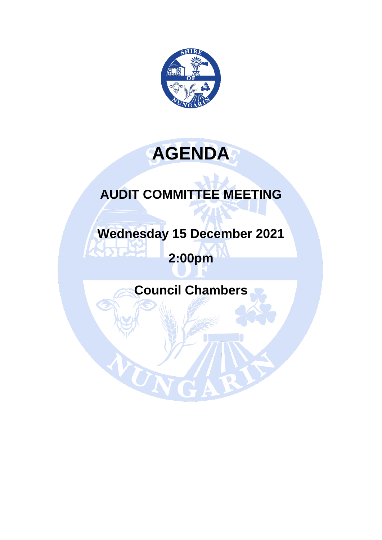

# **AGENDA**

## **AUDIT COMMITTEE MEETING**

**Wednesday 15 December 2021**

## **2:00pm**

**Council Chambers**

UN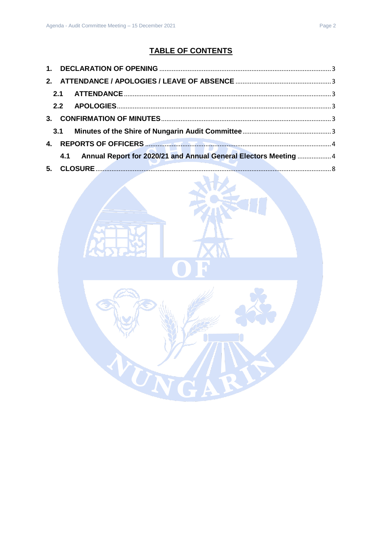## **TABLE OF CONTENTS**

|  | 4.1 Annual Report for 2020/21 and Annual General Electors Meeting  4 |  |
|--|----------------------------------------------------------------------|--|
|  |                                                                      |  |
|  |                                                                      |  |

TN

R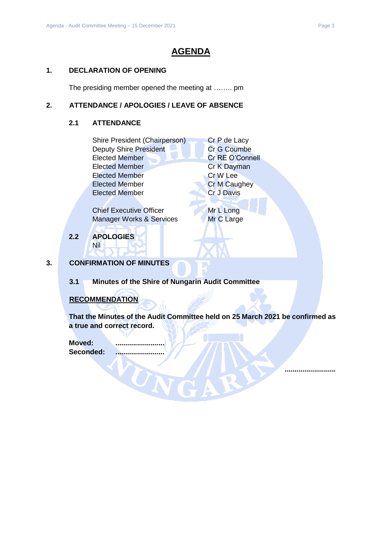### **AGENDA**

#### <span id="page-2-0"></span>**1. DECLARATION OF OPENING**

The presiding member opened the meeting at …….. pm

#### <span id="page-2-2"></span><span id="page-2-1"></span>**2. ATTENDANCE / APOLOGIES / LEAVE OF ABSENCE**

#### **2.1 ATTENDANCE**

| Shire President (Chairperson) | Cr P de Lacy        |
|-------------------------------|---------------------|
| <b>Deputy Shire President</b> | <b>Cr G Coumbe</b>  |
| <b>Elected Member</b>         | Cr RE O'Connell     |
| <b>Elected Member</b>         | Cr K Dayman         |
| <b>Elected Member</b>         | Cr W Lee            |
| <b>Elected Member</b>         | <b>Cr M Caughey</b> |
| <b>Elected Member</b>         | <b>Cr J Davis</b>   |
|                               |                     |

Chief Executive Officer Mr L Long Manager Works & Services Mr C Large

<span id="page-2-3"></span>**2.2 APOLOGIES** Nil

#### <span id="page-2-4"></span>**3. CONFIRMATION OF MINUTES**

<span id="page-2-5"></span>**3.1 Minutes of the Shire of Nungarin Audit Committee** 

UN

#### **RECOMMENDATION**

**That the Minutes of the Audit Committee held on 25 March 2021 be confirmed as a true and correct record.**

**Moved: .........................** Seconded:

**..........................**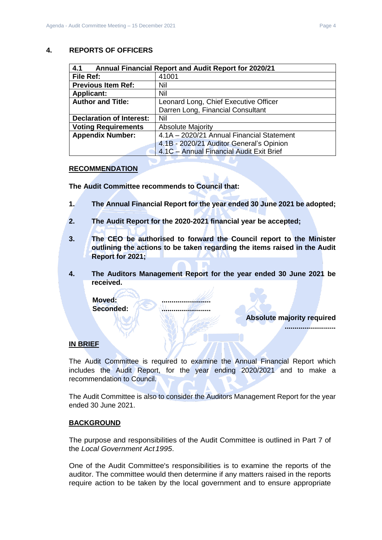#### <span id="page-3-0"></span>**4. REPORTS OF OFFICERS**

<span id="page-3-1"></span>

| 4.1<br><b>Annual Financial Report and Audit Report for 2020/21</b> |                                           |  |  |  |
|--------------------------------------------------------------------|-------------------------------------------|--|--|--|
| File Ref:                                                          | 41001                                     |  |  |  |
| <b>Previous Item Ref:</b>                                          | Nil                                       |  |  |  |
| <b>Applicant:</b>                                                  | Nil                                       |  |  |  |
| <b>Author and Title:</b>                                           | Leonard Long, Chief Executive Officer     |  |  |  |
|                                                                    | Darren Long, Financial Consultant         |  |  |  |
| <b>Declaration of Interest:</b>                                    | Nil                                       |  |  |  |
| <b>Voting Requirements</b>                                         | <b>Absolute Majority</b>                  |  |  |  |
| <b>Appendix Number:</b>                                            | 4.1A - 2020/21 Annual Financial Statement |  |  |  |
|                                                                    | 4.1B - 2020/21 Auditor General's Opinion  |  |  |  |
|                                                                    | 4.1C - Annual Financial Audit Exit Brief  |  |  |  |

#### **RECOMMENDATION**

**The Audit Committee recommends to Council that:**

- **1. The Annual Financial Report for the year ended 30 June 2021 be adopted;**
- **2. The Audit Report for the 2020-2021 financial year be accepted;**
- **3. The CEO be authorised to forward the Council report to the Minister outlining the actions to be taken regarding the items raised in the Audit Report for 2021;**
- **4. The Auditors Management Report for the year ended 30 June 2021 be received.**

**Moved: ......................... Seconded: .........................**

**Absolute majority required**

**..........................**

#### **IN BRIEF**

The Audit Committee is required to examine the Annual Financial Report which includes the Audit Report, for the year ending 2020/2021 and to make a recommendation to Council.

The Audit Committee is also to consider the Auditors Management Report for the year ended 30 June 2021.

#### **BACKGROUND**

The purpose and responsibilities of the Audit Committee is outlined in Part 7 of the *Local Government Act1995*.

One of the Audit Committee's responsibilities is to examine the reports of the auditor. The committee would then determine if any matters raised in the reports require action to be taken by the local government and to ensure appropriate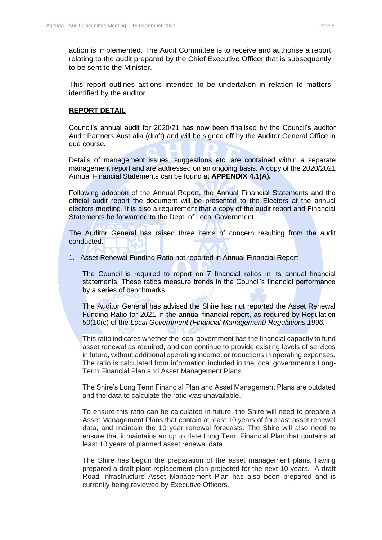action is implemented. The Audit Committee is to receive and authorise a report relating to the audit prepared by the Chief Executive Officer that is subsequently to be sent to the Minister.

This report outlines actions intended to be undertaken in relation to matters identified by the auditor.

#### **REPORT DETAIL**

Council's annual audit for 2020/21 has now been finalised by the Council's auditor Audit Partners Australia (draft) and will be signed off by the Auditor General Office in due course.

Details of management issues, suggestions etc. are contained within a separate management report and are addressed on an ongoing basis. A copy of the 2020/2021 Annual Financial Statements can be found at **APPENDIX 4.1(A).**

Following adoption of the Annual Report, the Annual Financial Statements and the official audit report the document will be presented to the Electors at the annual electors meeting. It is also a requirement that a copy of the audit report and Financial Statements be forwarded to the Dept. of Local Government.

The Auditor General has raised three items of concern resulting from the audit conducted.

1. Asset Renewal Funding Ratio not reported in Annual Financial Report

The Council is required to report on 7 financial ratios in its annual financial statements. These ratios measure trends in the Council's financial performance by a series of benchmarks.

The Auditor General has advised the Shire has not reported the Asset Renewal Funding Ratio for 2021 in the annual financial report, as required by Regulation 50(10(c) of the *Local Government (Financial Management) Regulations 1996.*

This ratio indicates whether the local government has the financial capacity to fund asset renewal as required, and can continue to provide existing levels of services in future, without additional operating income; or reductions in operating expenses. The ratio is calculated from information included in the local government's Long-Term Financial Plan and Asset Management Plans.

The Shire's Long Term Financial Plan and Asset Management Plans are outdated and the data to calculate the ratio was unavailable.

To ensure this ratio can be calculated in future, the Shire will need to prepare a Asset Management Plans that contain at least 10 years of forecast asset renewal data, and maintain the 10 year renewal forecasts. The Shire will also need to ensure that it maintains an up to date Long Term Financial Plan that contains at least 10 years of planned asset renewal data.

The Shire has begun the preparation of the asset management plans, having prepared a draft plant replacement plan projected for the next 10 years. A draft Road Infrastructure Asset Management Plan has also been prepared and is currently being reviewed by Executive Officers.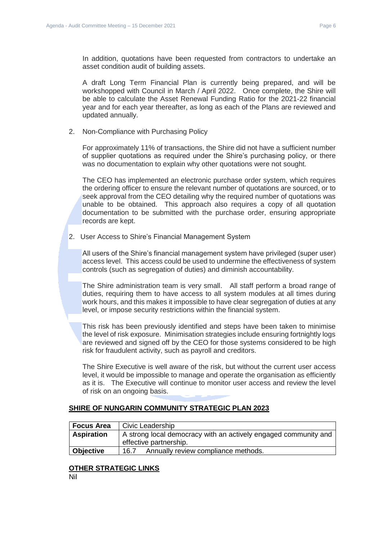In addition, quotations have been requested from contractors to undertake an asset condition audit of building assets.

A draft Long Term Financial Plan is currently being prepared, and will be workshopped with Council in March / April 2022. Once complete, the Shire will be able to calculate the Asset Renewal Funding Ratio for the 2021-22 financial year and for each year thereafter, as long as each of the Plans are reviewed and updated annually.

2. Non-Compliance with Purchasing Policy

For approximately 11% of transactions, the Shire did not have a sufficient number of supplier quotations as required under the Shire's purchasing policy, or there was no documentation to explain why other quotations were not sought.

The CEO has implemented an electronic purchase order system, which requires the ordering officer to ensure the relevant number of quotations are sourced, or to seek approval from the CEO detailing why the required number of quotations was unable to be obtained. This approach also requires a copy of all quotation documentation to be submitted with the purchase order, ensuring appropriate records are kept.

2. User Access to Shire's Financial Management System

All users of the Shire's financial management system have privileged (super user) access level. This access could be used to undermine the effectiveness of system controls (such as segregation of duties) and diminish accountability.

The Shire administration team is very small. All staff perform a broad range of duties, requiring them to have access to all system modules at all times during work hours, and this makes it impossible to have clear segregation of duties at any level, or impose security restrictions within the financial system.

This risk has been previously identified and steps have been taken to minimise the level of risk exposure. Minimisation strategies include ensuring fortnightly logs are reviewed and signed off by the CEO for those systems considered to be high risk for fraudulent activity, such as payroll and creditors.

The Shire Executive is well aware of the risk, but without the current user access level, it would be impossible to manage and operate the organisation as efficiently as it is. The Executive will continue to monitor user access and review the level of risk on an ongoing basis.

#### **SHIRE OF NUNGARIN COMMUNITY STRATEGIC PLAN 2023**

| <b>Focus Area</b> | Civic Leadership                                                                          |
|-------------------|-------------------------------------------------------------------------------------------|
| <b>Aspiration</b> | A strong local democracy with an actively engaged community and<br>effective partnership. |
| Objective         | Annually review compliance methods.<br>16.7                                               |

#### **OTHER STRATEGIC LINKS**

Nil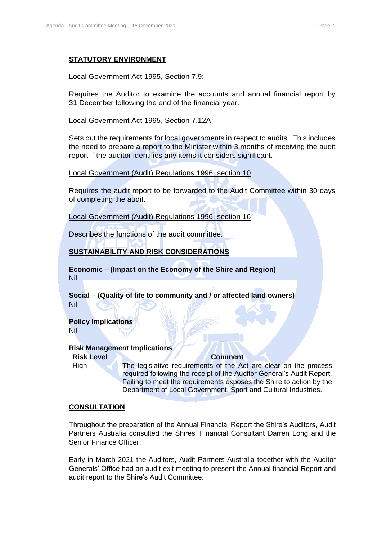#### **STATUTORY ENVIRONMENT**

#### Local Government Act 1995, Section 7.9:

Requires the Auditor to examine the accounts and annual financial report by 31 December following the end of the financial year.

Local Government Act 1995, Section 7.12A:

Sets out the requirements for local governments in respect to audits. This includes the need to prepare a report to the Minister within 3 months of receiving the audit report if the auditor identifies any items it considers significant.

Local Government (Audit) Regulations 1996, section 10:

Requires the audit report to be forwarded to the Audit Committee within 30 days of completing the audit.

Local Government (Audit) Regulations 1996, section 16:

Describes the functions of the audit committee.

#### **SUSTAINABILITY AND RISK CONSIDERATIONS**

**Economic – (Impact on the Economy of the Shire and Region)** Nil

**Social – (Quality of life to community and / or affected land owners)** Nil

### **Policy Implications**

Nil

#### **Risk Management Implications**

| <b>Risk Level</b> | <b>Comment</b>                                                        |
|-------------------|-----------------------------------------------------------------------|
| High              | The legislative requirements of the Act are clear on the process      |
|                   | required following the receipt of the Auditor General's Audit Report. |
|                   | Failing to meet the requirements exposes the Shire to action by the   |
|                   | Department of Local Government, Sport and Cultural Industries.        |

#### **CONSULTATION**

Throughout the preparation of the Annual Financial Report the Shire's Auditors, Audit Partners Australia consulted the Shires' Financial Consultant Darren Long and the Senior Finance Officer.

Early in March 2021 the Auditors, Audit Partners Australia together with the Auditor Generals' Office had an audit exit meeting to present the Annual financial Report and audit report to the Shire's Audit Committee.